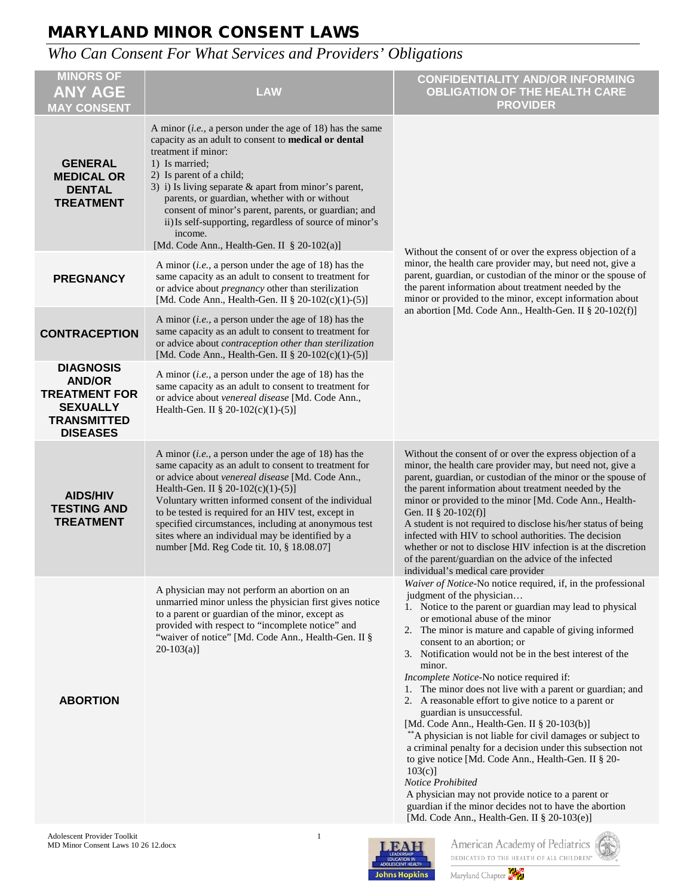# *Who Can Consent For What Services and Providers' Obligations*

| <b>MINORS OF</b><br><b>ANY AGE</b><br><b>MAY CONSENT</b>                                                              | <b>LAW</b>                                                                                                                                                                                                                                                                                                                                                                                                                                                                                | <b>CONFIDENTIALITY AND/OR INFORMING</b><br><b>OBLIGATION OF THE HEALTH CARE</b><br><b>PROVIDER</b>                                                                                                                                                                                                                                                                                                                                                                                                                                                                                                                                                                                                                                                                                                                                                                                                                                                                                           |  |
|-----------------------------------------------------------------------------------------------------------------------|-------------------------------------------------------------------------------------------------------------------------------------------------------------------------------------------------------------------------------------------------------------------------------------------------------------------------------------------------------------------------------------------------------------------------------------------------------------------------------------------|----------------------------------------------------------------------------------------------------------------------------------------------------------------------------------------------------------------------------------------------------------------------------------------------------------------------------------------------------------------------------------------------------------------------------------------------------------------------------------------------------------------------------------------------------------------------------------------------------------------------------------------------------------------------------------------------------------------------------------------------------------------------------------------------------------------------------------------------------------------------------------------------------------------------------------------------------------------------------------------------|--|
| <b>GENERAL</b><br><b>MEDICAL OR</b><br><b>DENTAL</b><br><b>TREATMENT</b>                                              | A minor ( <i>i.e.</i> , a person under the age of 18) has the same<br>capacity as an adult to consent to medical or dental<br>treatment if minor:<br>1) Is married;<br>2) Is parent of a child;<br>3) i) Is living separate & apart from minor's parent,<br>parents, or guardian, whether with or without<br>consent of minor's parent, parents, or guardian; and<br>ii) Is self-supporting, regardless of source of minor's<br>income.<br>[Md. Code Ann., Health-Gen. II $\S$ 20-102(a)] |                                                                                                                                                                                                                                                                                                                                                                                                                                                                                                                                                                                                                                                                                                                                                                                                                                                                                                                                                                                              |  |
| <b>PREGNANCY</b>                                                                                                      | A minor ( <i>i.e.</i> , a person under the age of 18) has the<br>same capacity as an adult to consent to treatment for<br>or advice about <i>pregnancy</i> other than sterilization<br>[Md. Code Ann., Health-Gen. II § 20-102(c)(1)-(5)]                                                                                                                                                                                                                                                 | Without the consent of or over the express objection of a<br>minor, the health care provider may, but need not, give a<br>parent, guardian, or custodian of the minor or the spouse of<br>the parent information about treatment needed by the<br>minor or provided to the minor, except information about                                                                                                                                                                                                                                                                                                                                                                                                                                                                                                                                                                                                                                                                                   |  |
| <b>CONTRACEPTION</b>                                                                                                  | A minor ( <i>i.e.</i> , a person under the age of 18) has the<br>same capacity as an adult to consent to treatment for<br>or advice about contraception other than sterilization<br>[Md. Code Ann., Health-Gen. II § 20-102(c)(1)-(5)]                                                                                                                                                                                                                                                    | an abortion [Md. Code Ann., Health-Gen. II § 20-102(f)]                                                                                                                                                                                                                                                                                                                                                                                                                                                                                                                                                                                                                                                                                                                                                                                                                                                                                                                                      |  |
| <b>DIAGNOSIS</b><br><b>AND/OR</b><br><b>TREATMENT FOR</b><br><b>SEXUALLY</b><br><b>TRANSMITTED</b><br><b>DISEASES</b> | A minor ( <i>i.e.</i> , a person under the age of 18) has the<br>same capacity as an adult to consent to treatment for<br>or advice about venereal disease [Md. Code Ann.,<br>Health-Gen. II § 20-102(c)(1)-(5)]                                                                                                                                                                                                                                                                          |                                                                                                                                                                                                                                                                                                                                                                                                                                                                                                                                                                                                                                                                                                                                                                                                                                                                                                                                                                                              |  |
| <b>AIDS/HIV</b><br><b>TESTING AND</b><br><b>TREATMENT</b>                                                             | A minor ( <i>i.e.</i> , a person under the age of 18) has the<br>same capacity as an adult to consent to treatment for<br>or advice about venereal disease [Md. Code Ann.,<br>Health-Gen. II § 20-102(c)(1)-(5)]<br>Voluntary written informed consent of the individual<br>to be tested is required for an HIV test, except in<br>specified circumstances, including at anonymous test<br>sites where an individual may be identified by a<br>number [Md. Reg Code tit. 10, § 18.08.07]  | Without the consent of or over the express objection of a<br>minor, the health care provider may, but need not, give a<br>parent, guardian, or custodian of the minor or the spouse of<br>the parent information about treatment needed by the<br>minor or provided to the minor [Md. Code Ann., Health-<br>Gen. II § 20-102(f)]<br>A student is not required to disclose his/her status of being<br>infected with HIV to school authorities. The decision<br>whether or not to disclose HIV infection is at the discretion<br>of the parent/guardian on the advice of the infected<br>individual's medical care provider                                                                                                                                                                                                                                                                                                                                                                    |  |
| <b>ABORTION</b>                                                                                                       | A physician may not perform an abortion on an<br>unmarried minor unless the physician first gives notice<br>to a parent or guardian of the minor, except as<br>provided with respect to "incomplete notice" and<br>"waiver of notice" [Md. Code Ann., Health-Gen. II §<br>$20-103(a)$ ]                                                                                                                                                                                                   | Waiver of Notice-No notice required, if, in the professional<br>judgment of the physician<br>1. Notice to the parent or guardian may lead to physical<br>or emotional abuse of the minor<br>2. The minor is mature and capable of giving informed<br>consent to an abortion; or<br>3. Notification would not be in the best interest of the<br>minor.<br>Incomplete Notice-No notice required if:<br>1. The minor does not live with a parent or guardian; and<br>2. A reasonable effort to give notice to a parent or<br>guardian is unsuccessful.<br>[Md. Code Ann., Health-Gen. II § 20-103(b)]<br>**A physician is not liable for civil damages or subject to<br>a criminal penalty for a decision under this subsection not<br>to give notice [Md. Code Ann., Health-Gen. II § 20-<br>$103(c)$ ]<br>Notice Prohibited<br>A physician may not provide notice to a parent or<br>guardian if the minor decides not to have the abortion<br>[Md. Code Ann., Health-Gen. II $\S 20-103(e)$ ] |  |
| Adolescent Provider Toolkit<br>MD Minor Consent Laws 10 26 12.docx                                                    | $\mathbf{1}$                                                                                                                                                                                                                                                                                                                                                                                                                                                                              | American Academy of Pediatrics<br><b>LEAH</b>                                                                                                                                                                                                                                                                                                                                                                                                                                                                                                                                                                                                                                                                                                                                                                                                                                                                                                                                                |  |





Maryland Chapter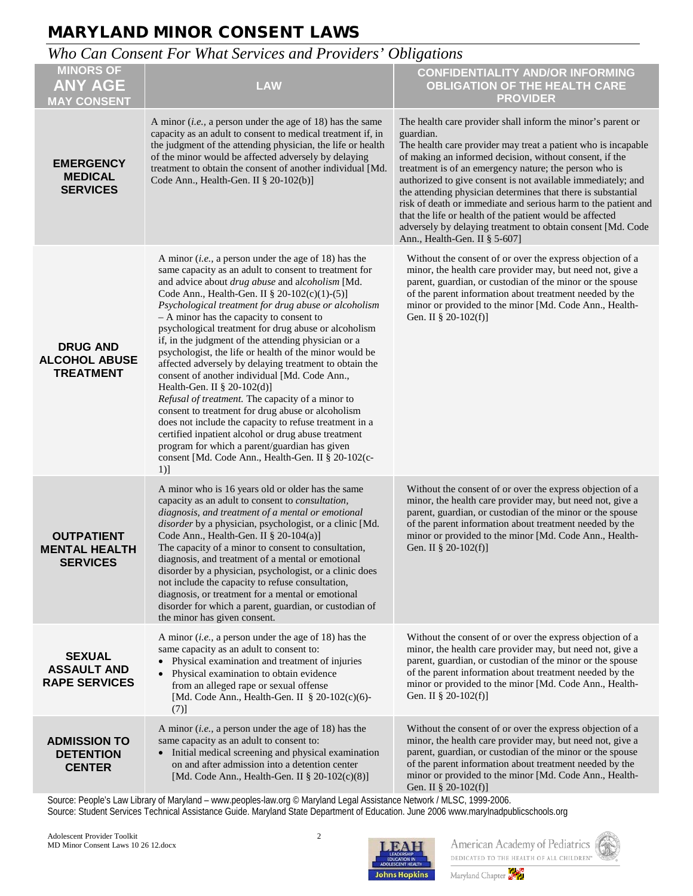### *Who Can Consent For What Services and Providers' Obligations*

| <b>MINORS OF</b><br><b>ANY AGE</b><br><b>MAY CONSENT</b>     | <b>LAW</b>                                                                                                                                                                                                                                                                                                                                                                                                                                                                                                                                                                                                                                                                                                                                                                                                                                                                                                                                                                                   | <b>CONFIDENTIALITY AND/OR INFORMING</b><br><b>OBLIGATION OF THE HEALTH CARE</b><br><b>PROVIDER</b>                                                                                                                                                                                                                                                                                                                                                                                                                                                                                                                           |
|--------------------------------------------------------------|----------------------------------------------------------------------------------------------------------------------------------------------------------------------------------------------------------------------------------------------------------------------------------------------------------------------------------------------------------------------------------------------------------------------------------------------------------------------------------------------------------------------------------------------------------------------------------------------------------------------------------------------------------------------------------------------------------------------------------------------------------------------------------------------------------------------------------------------------------------------------------------------------------------------------------------------------------------------------------------------|------------------------------------------------------------------------------------------------------------------------------------------------------------------------------------------------------------------------------------------------------------------------------------------------------------------------------------------------------------------------------------------------------------------------------------------------------------------------------------------------------------------------------------------------------------------------------------------------------------------------------|
| <b>EMERGENCY</b><br><b>MEDICAL</b><br><b>SERVICES</b>        | A minor <i>(i.e., a person under the age of 18)</i> has the same<br>capacity as an adult to consent to medical treatment if, in<br>the judgment of the attending physician, the life or health<br>of the minor would be affected adversely by delaying<br>treatment to obtain the consent of another individual [Md.<br>Code Ann., Health-Gen. II $\S$ 20-102(b)]                                                                                                                                                                                                                                                                                                                                                                                                                                                                                                                                                                                                                            | The health care provider shall inform the minor's parent or<br>guardian.<br>The health care provider may treat a patient who is incapable<br>of making an informed decision, without consent, if the<br>treatment is of an emergency nature; the person who is<br>authorized to give consent is not available immediately; and<br>the attending physician determines that there is substantial<br>risk of death or immediate and serious harm to the patient and<br>that the life or health of the patient would be affected<br>adversely by delaying treatment to obtain consent [Md. Code<br>Ann., Health-Gen. II § 5-607] |
| <b>DRUG AND</b><br><b>ALCOHOL ABUSE</b><br><b>TREATMENT</b>  | A minor ( <i>i.e.</i> , a person under the age of 18) has the<br>same capacity as an adult to consent to treatment for<br>and advice about drug abuse and alcoholism [Md.<br>Code Ann., Health-Gen. II § 20-102(c)(1)-(5)]<br>Psychological treatment for drug abuse or alcoholism<br>- A minor has the capacity to consent to<br>psychological treatment for drug abuse or alcoholism<br>if, in the judgment of the attending physician or a<br>psychologist, the life or health of the minor would be<br>affected adversely by delaying treatment to obtain the<br>consent of another individual [Md. Code Ann.,<br>Health-Gen. II § 20-102(d)]<br>Refusal of treatment. The capacity of a minor to<br>consent to treatment for drug abuse or alcoholism<br>does not include the capacity to refuse treatment in a<br>certified inpatient alcohol or drug abuse treatment<br>program for which a parent/guardian has given<br>consent [Md. Code Ann., Health-Gen. II § 20-102(c-<br>$1)$ ] | Without the consent of or over the express objection of a<br>minor, the health care provider may, but need not, give a<br>parent, guardian, or custodian of the minor or the spouse<br>of the parent information about treatment needed by the<br>minor or provided to the minor [Md. Code Ann., Health-<br>Gen. II § 20-102(f)]                                                                                                                                                                                                                                                                                             |
| <b>OUTPATIENT</b><br><b>MENTAL HEALTH</b><br><b>SERVICES</b> | A minor who is 16 years old or older has the same<br>capacity as an adult to consent to consultation,<br>diagnosis, and treatment of a mental or emotional<br>disorder by a physician, psychologist, or a clinic [Md.<br>Code Ann., Health-Gen. II § 20-104(a)]<br>The capacity of a minor to consent to consultation,<br>diagnosis, and treatment of a mental or emotional<br>disorder by a physician, psychologist, or a clinic does<br>not include the capacity to refuse consultation,<br>diagnosis, or treatment for a mental or emotional<br>disorder for which a parent, guardian, or custodian of<br>the minor has given consent.                                                                                                                                                                                                                                                                                                                                                    | Without the consent of or over the express objection of a<br>minor, the health care provider may, but need not, give a<br>parent, guardian, or custodian of the minor or the spouse<br>of the parent information about treatment needed by the<br>minor or provided to the minor [Md. Code Ann., Health-<br>Gen. II § 20-102(f)]                                                                                                                                                                                                                                                                                             |
| <b>SEXUAL</b><br><b>ASSAULT AND</b><br><b>RAPE SERVICES</b>  | A minor ( <i>i.e.</i> , a person under the age of 18) has the<br>same capacity as an adult to consent to:<br>• Physical examination and treatment of injuries<br>• Physical examination to obtain evidence<br>from an alleged rape or sexual offense<br>[Md. Code Ann., Health-Gen. II § 20-102(c)(6)-<br>(7)]                                                                                                                                                                                                                                                                                                                                                                                                                                                                                                                                                                                                                                                                               | Without the consent of or over the express objection of a<br>minor, the health care provider may, but need not, give a<br>parent, guardian, or custodian of the minor or the spouse<br>of the parent information about treatment needed by the<br>minor or provided to the minor [Md. Code Ann., Health-<br>Gen. II § 20-102(f)]                                                                                                                                                                                                                                                                                             |
| <b>ADMISSION TO</b><br><b>DETENTION</b><br><b>CENTER</b>     | A minor ( <i>i.e.</i> , a person under the age of 18) has the<br>same capacity as an adult to consent to:<br>• Initial medical screening and physical examination<br>on and after admission into a detention center<br>[Md. Code Ann., Health-Gen. II § 20-102(c)(8)]                                                                                                                                                                                                                                                                                                                                                                                                                                                                                                                                                                                                                                                                                                                        | Without the consent of or over the express objection of a<br>minor, the health care provider may, but need not, give a<br>parent, guardian, or custodian of the minor or the spouse<br>of the parent information about treatment needed by the<br>minor or provided to the minor [Md. Code Ann., Health-<br>Gen. II $\S$ 20-102(f)]                                                                                                                                                                                                                                                                                          |

Source: People's Law Library of Maryland – [www.peoples-law.org](http://www.peoples-law.org/default.htm) © Maryland Legal Assistance Network / MLSC, 1999-2006.

Source: Student Services Technical Assistance Guide. Maryland State Department of Education. June 2006 www.marylnadpublicschools.org



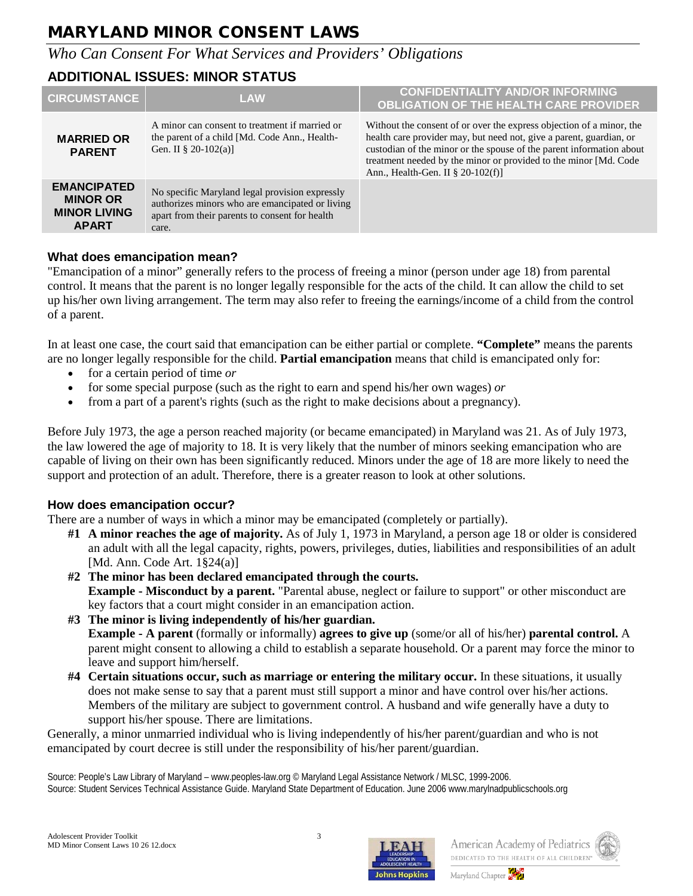### *Who Can Consent For What Services and Providers' Obligations*

#### **ADDITIONAL ISSUES: MINOR STATUS**

| <b>CIRCUMSTANCE</b>                                                          | <b>LAW</b>                                                                                                                                                   | <b>CONFIDENTIALITY AND/OR INFORMING</b><br><b>OBLIGATION OF THE HEALTH CARE PROVIDER</b>                                                                                                                                                                                                                                     |
|------------------------------------------------------------------------------|--------------------------------------------------------------------------------------------------------------------------------------------------------------|------------------------------------------------------------------------------------------------------------------------------------------------------------------------------------------------------------------------------------------------------------------------------------------------------------------------------|
| <b>MARRIED OR</b><br><b>PARENT</b>                                           | A minor can consent to treatment if married or<br>the parent of a child [Md. Code Ann., Health-<br>Gen. II $\S 20-102(a)$ ]                                  | Without the consent of or over the express objection of a minor, the<br>health care provider may, but need not, give a parent, guardian, or<br>custodian of the minor or the spouse of the parent information about<br>treatment needed by the minor or provided to the minor [Md. Code<br>Ann., Health-Gen. II § 20-102(f)] |
| <b>EMANCIPATED</b><br><b>MINOR OR</b><br><b>MINOR LIVING</b><br><b>APART</b> | No specific Maryland legal provision expressly<br>authorizes minors who are emancipated or living<br>apart from their parents to consent for health<br>care. |                                                                                                                                                                                                                                                                                                                              |

#### **What does emancipation mean?**

"Emancipation of a minor" generally refers to the process of freeing a minor (person under age 18) from parental control. It means that the parent is no longer legally responsible for the acts of the child. It can allow the child to set up his/her own living arrangement. The term may also refer to freeing the earnings/income of a child from the control of a parent.

In at least [one case,](http://www.peoples-law.org/children/emancipation/Emancipation%20-%20Holly%20Case.htm) the court said that emancipation can be either partial or complete. **"Complete"** means the parents are no longer legally responsible for the child. **Partial emancipation** means that child is emancipated only for:

- for a certain period of time *or*
- for some special purpose (such as the right to earn and spend his/her own wages) *or*
- from a part of a parent's rights (such as the right to make decisions about a pregnancy).

Before July 1973, the age a person reached majority (or became emancipated) in Maryland was 21. As of July 1973, the law lowered the age of majority to 18. It is very likely that the number of minors seeking emancipation who are capable of living on their own has been significantly reduced. Minors under the age of 18 are more likely to need the support and protection of an adult. Therefore, there is a greater reason to look at other solutions.

#### **How does emancipation occur?**

There are a number of ways in which a minor may be emancipated (completely or partially).

- **#1 A minor reaches the age of majority.** As of July 1, 1973 in Maryland, a person age 18 or older is considered an adult with all the legal capacity, rights, powers, privileges, duties, liabilities and responsibilities of an adult [Md. Ann. Code Art. 1§24(a)]
- **#2 The minor has been declared emancipated through the courts. Example - Misconduct by a parent.** "Parental abuse, neglect or failure to support" or other misconduct are key factors that a court might consider in an emancipation action.
- **#3 The minor is living independently of his/her guardian. Example - A parent** (formally or informally) **agrees to give up** (some/or all of his/her) **parental control.** A parent might consent to allowing a child to establish a separate household. Or a parent may force the minor to leave and support him/herself.
- **#4 Certain situations occur, such as marriage or entering the military occur.** In these situations, it usually does not make sense to say that a parent must still support a minor and have control over his/her actions. Members of the military are subject to government control. A husband and wife generally have a duty to support his/her spouse. There are limitations.

Generally, a minor unmarried individual who is living independently of his/her parent/guardian and who is not emancipated by court decree is still under the responsibility of his/her parent/guardian.

Source: People's Law Library of Maryland – [www.peoples-law.org](http://www.peoples-law.org/default.htm) © Maryland Legal Assistance Network / MLSC, 1999-2006. Source: Student Services Technical Assistance Guide. Maryland State Department of Education. June 2006 www.marylnadpublicschools.org



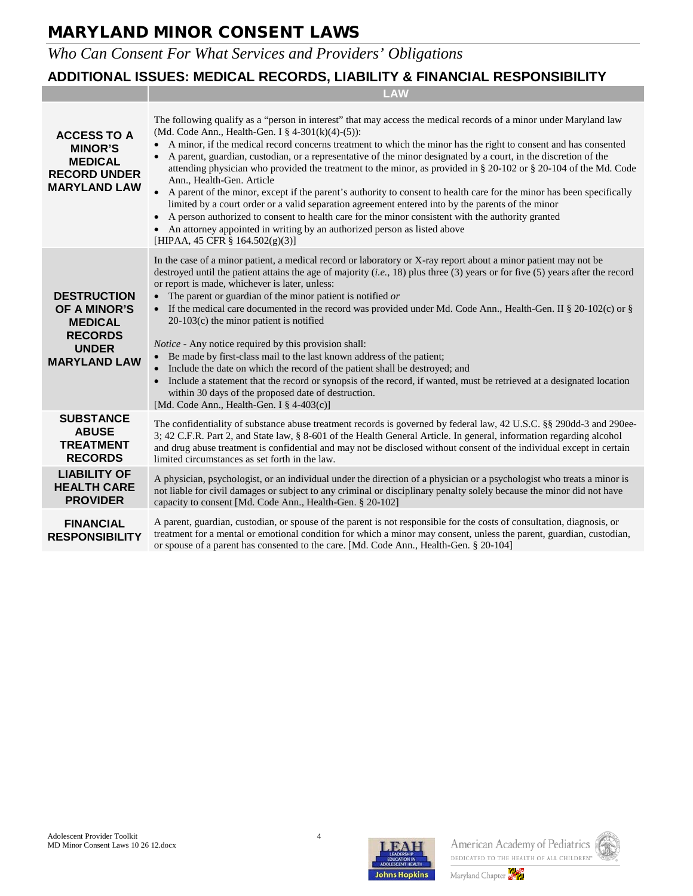# *Who Can Consent For What Services and Providers' Obligations*

#### **ADDITIONAL ISSUES: MEDICAL RECORDS, LIABILITY & FINANCIAL RESPONSIBILITY**

|                                                                                                                      | LAW                                                                                                                                                                                                                                                                                                                                                                                                                                                                                                                                                                                                                                                                                                                                                                                                                                                                                                                                                                                                                              |  |  |
|----------------------------------------------------------------------------------------------------------------------|----------------------------------------------------------------------------------------------------------------------------------------------------------------------------------------------------------------------------------------------------------------------------------------------------------------------------------------------------------------------------------------------------------------------------------------------------------------------------------------------------------------------------------------------------------------------------------------------------------------------------------------------------------------------------------------------------------------------------------------------------------------------------------------------------------------------------------------------------------------------------------------------------------------------------------------------------------------------------------------------------------------------------------|--|--|
| <b>ACCESS TO A</b><br><b>MINOR'S</b><br><b>MEDICAL</b><br><b>RECORD UNDER</b><br><b>MARYLAND LAW</b>                 | The following qualify as a "person in interest" that may access the medical records of a minor under Maryland law<br>(Md. Code Ann., Health-Gen. I § 4-301(k)(4)-(5)):<br>A minor, if the medical record concerns treatment to which the minor has the right to consent and has consented<br>A parent, guardian, custodian, or a representative of the minor designated by a court, in the discretion of the<br>attending physician who provided the treatment to the minor, as provided in § 20-102 or § 20-104 of the Md. Code<br>Ann., Health-Gen. Article<br>$\bullet$<br>A parent of the minor, except if the parent's authority to consent to health care for the minor has been specifically<br>limited by a court order or a valid separation agreement entered into by the parents of the minor<br>• A person authorized to consent to health care for the minor consistent with the authority granted<br>• An attorney appointed in writing by an authorized person as listed above<br>[HIPAA, 45 CFR § 164.502(g)(3)] |  |  |
| <b>DESTRUCTION</b><br><b>OF A MINOR'S</b><br><b>MEDICAL</b><br><b>RECORDS</b><br><b>UNDER</b><br><b>MARYLAND LAW</b> | In the case of a minor patient, a medical record or laboratory or X-ray report about a minor patient may not be<br>destroyed until the patient attains the age of majority ( <i>i.e.</i> , 18) plus three (3) years or for five (5) years after the record<br>or report is made, whichever is later, unless:<br>• The parent or guardian of the minor patient is notified $or$<br>• If the medical care documented in the record was provided under Md. Code Ann., Health-Gen. II § 20-102(c) or §<br>$20-103(c)$ the minor patient is notified<br><i>Notice</i> - Any notice required by this provision shall:<br>• Be made by first-class mail to the last known address of the patient;<br>Include the date on which the record of the patient shall be destroyed; and<br>Include a statement that the record or synopsis of the record, if wanted, must be retrieved at a designated location<br>$\bullet$<br>within 30 days of the proposed date of destruction.<br>[Md. Code Ann., Health-Gen. I $\S$ 4-403(c)]            |  |  |
| <b>SUBSTANCE</b><br><b>ABUSE</b><br><b>TREATMENT</b><br><b>RECORDS</b>                                               | The confidentiality of substance abuse treatment records is governed by federal law, 42 U.S.C. §§ 290dd-3 and 290ee-<br>3; 42 C.F.R. Part 2, and State law, § 8-601 of the Health General Article. In general, information regarding alcohol<br>and drug abuse treatment is confidential and may not be disclosed without consent of the individual except in certain<br>limited circumstances as set forth in the law.                                                                                                                                                                                                                                                                                                                                                                                                                                                                                                                                                                                                          |  |  |
| <b>LIABILITY OF</b><br><b>HEALTH CARE</b><br><b>PROVIDER</b>                                                         | A physician, psychologist, or an individual under the direction of a physician or a psychologist who treats a minor is<br>not liable for civil damages or subject to any criminal or disciplinary penalty solely because the minor did not have<br>capacity to consent [Md. Code Ann., Health-Gen. § 20-102]                                                                                                                                                                                                                                                                                                                                                                                                                                                                                                                                                                                                                                                                                                                     |  |  |
| <b>FINANCIAL</b><br><b>RESPONSIBILITY</b>                                                                            | A parent, guardian, custodian, or spouse of the parent is not responsible for the costs of consultation, diagnosis, or<br>treatment for a mental or emotional condition for which a minor may consent, unless the parent, guardian, custodian,<br>or spouse of a parent has consented to the care. [Md. Code Ann., Health-Gen. § 20-104]                                                                                                                                                                                                                                                                                                                                                                                                                                                                                                                                                                                                                                                                                         |  |  |



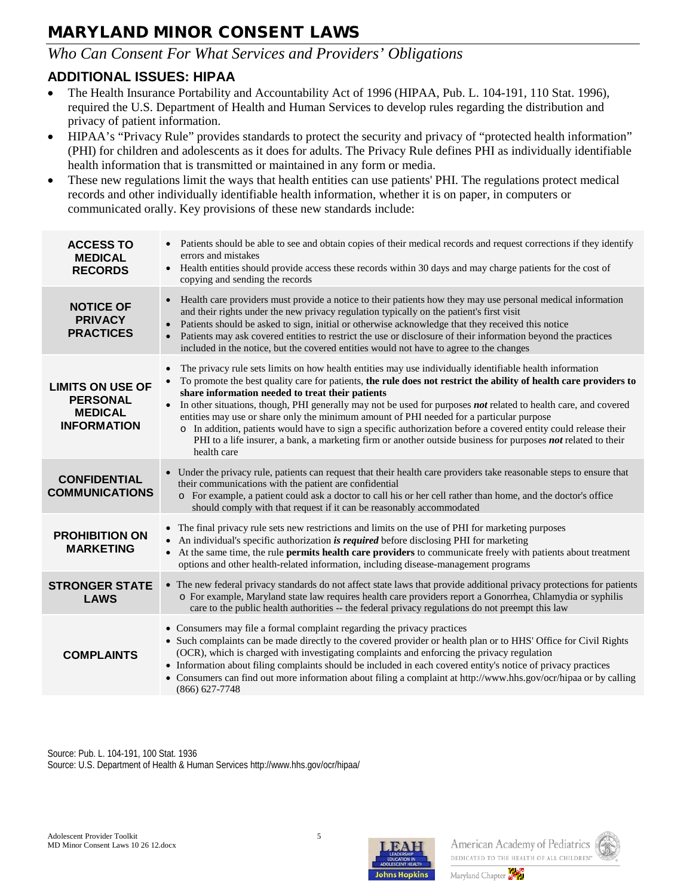### *Who Can Consent For What Services and Providers' Obligations*

### **ADDITIONAL ISSUES: HIPAA**

- The Health Insurance Portability and Accountability Act of 1996 (HIPAA, Pub. L. 104-191, 110 Stat. 1996), required the U.S. Department of Health and Human Services to develop rules regarding the distribution and privacy of patient information.
- HIPAA's "Privacy Rule" provides standards to protect the security and privacy of "protected health information" (PHI) for children and adolescents as it does for adults. The Privacy Rule defines PHI as individually identifiable health information that is transmitted or maintained in any form or media.
- These new regulations limit the ways that health entities can use patients' PHI. The regulations protect medical records and other individually identifiable health information, whether it is on paper, in computers or communicated orally. Key provisions of these new standards include:

| <b>ACCESS TO</b><br><b>MEDICAL</b><br><b>RECORDS</b>                               | Patients should be able to see and obtain copies of their medical records and request corrections if they identify<br>errors and mistakes<br>Health entities should provide access these records within 30 days and may charge patients for the cost of<br>$\bullet$<br>copying and sending the records                                                                                                                                                                                                                                                                                                                                                                                                                                                    |
|------------------------------------------------------------------------------------|------------------------------------------------------------------------------------------------------------------------------------------------------------------------------------------------------------------------------------------------------------------------------------------------------------------------------------------------------------------------------------------------------------------------------------------------------------------------------------------------------------------------------------------------------------------------------------------------------------------------------------------------------------------------------------------------------------------------------------------------------------|
| <b>NOTICE OF</b><br><b>PRIVACY</b><br><b>PRACTICES</b>                             | Health care providers must provide a notice to their patients how they may use personal medical information<br>and their rights under the new privacy regulation typically on the patient's first visit<br>Patients should be asked to sign, initial or otherwise acknowledge that they received this notice<br>Patients may ask covered entities to restrict the use or disclosure of their information beyond the practices<br>included in the notice, but the covered entities would not have to agree to the changes                                                                                                                                                                                                                                   |
| <b>LIMITS ON USE OF</b><br><b>PERSONAL</b><br><b>MEDICAL</b><br><b>INFORMATION</b> | The privacy rule sets limits on how health entities may use individually identifiable health information<br>To promote the best quality care for patients, the rule does not restrict the ability of health care providers to<br>share information needed to treat their patients<br>In other situations, though, PHI generally may not be used for purposes <b>not</b> related to health care, and covered<br>entities may use or share only the minimum amount of PHI needed for a particular purpose<br>o In addition, patients would have to sign a specific authorization before a covered entity could release their<br>PHI to a life insurer, a bank, a marketing firm or another outside business for purposes not related to their<br>health care |
| <b>CONFIDENTIAL</b><br><b>COMMUNICATIONS</b>                                       | • Under the privacy rule, patients can request that their health care providers take reasonable steps to ensure that<br>their communications with the patient are confidential<br>o For example, a patient could ask a doctor to call his or her cell rather than home, and the doctor's office<br>should comply with that request if it can be reasonably accommodated                                                                                                                                                                                                                                                                                                                                                                                    |
| <b>PROHIBITION ON</b><br><b>MARKETING</b>                                          | • The final privacy rule sets new restrictions and limits on the use of PHI for marketing purposes<br>• An individual's specific authorization is required before disclosing PHI for marketing<br>• At the same time, the rule permits health care providers to communicate freely with patients about treatment<br>options and other health-related information, including disease-management programs                                                                                                                                                                                                                                                                                                                                                    |
| <b>STRONGER STATE</b><br><b>LAWS</b>                                               | • The new federal privacy standards do not affect state laws that provide additional privacy protections for patients<br>o For example, Maryland state law requires health care providers report a Gonorrhea, Chlamydia or syphilis<br>care to the public health authorities -- the federal privacy regulations do not preempt this law                                                                                                                                                                                                                                                                                                                                                                                                                    |
| <b>COMPLAINTS</b>                                                                  | • Consumers may file a formal complaint regarding the privacy practices<br>• Such complaints can be made directly to the covered provider or health plan or to HHS' Office for Civil Rights<br>(OCR), which is charged with investigating complaints and enforcing the privacy regulation<br>• Information about filing complaints should be included in each covered entity's notice of privacy practices<br>• Consumers can find out more information about filing a complaint at http://www.hhs.gov/ocr/hipaa or by calling<br>$(866) 627 - 7748$                                                                                                                                                                                                       |

Source: Pub. L. 104-191, 100 Stat. 1936 Source: U.S. Department of Health & Human Services http://www.hhs.gov/ocr/hipaa/





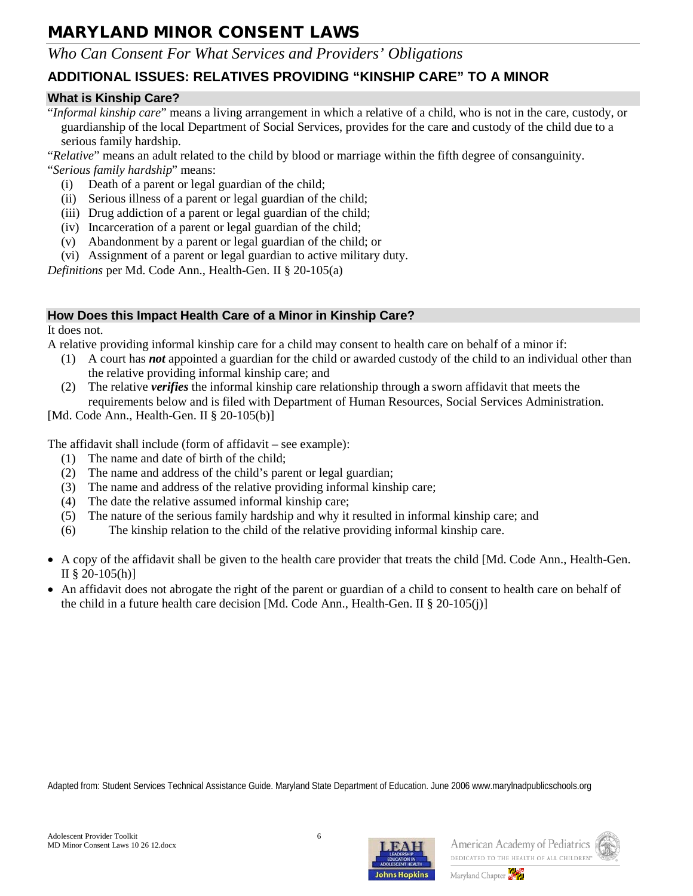#### *Who Can Consent For What Services and Providers' Obligations*

### **ADDITIONAL ISSUES: RELATIVES PROVIDING "KINSHIP CARE" TO A MINOR**

#### **What is Kinship Care?**

"*Informal kinship care*" means a living arrangement in which a relative of a child, who is not in the care, custody, or guardianship of the local Department of Social Services, provides for the care and custody of the child due to a serious family hardship.

"*Relative*" means an adult related to the child by blood or marriage within the fifth degree of consanguinity.

"*Serious family hardship*" means:

- (i) Death of a parent or legal guardian of the child;
- (ii) Serious illness of a parent or legal guardian of the child;
- (iii) Drug addiction of a parent or legal guardian of the child;
- (iv) Incarceration of a parent or legal guardian of the child;
- (v) Abandonment by a parent or legal guardian of the child; or
- (vi) Assignment of a parent or legal guardian to active military duty.

*Definitions* per Md. Code Ann., Health-Gen. II § 20-105(a)

#### **How Does this Impact Health Care of a Minor in Kinship Care?**

It does not.

A relative providing informal kinship care for a child may consent to health care on behalf of a minor if:

- (1) A court has *not* appointed a guardian for the child or awarded custody of the child to an individual other than the relative providing informal kinship care; and
- (2) The relative *verifies* the informal kinship care relationship through a sworn affidavit that meets the requirements below and is filed with Department of Human Resources, Social Services Administration.

[Md. Code Ann., Health-Gen. II § 20-105(b)]

The affidavit shall include (form of affidavit – see example):

- (1) The name and date of birth of the child;
- (2) The name and address of the child's parent or legal guardian;
- (3) The name and address of the relative providing informal kinship care;
- (4) The date the relative assumed informal kinship care;
- (5) The nature of the serious family hardship and why it resulted in informal kinship care; and
- (6) The kinship relation to the child of the relative providing informal kinship care.
- A copy of the affidavit shall be given to the health care provider that treats the child [Md. Code Ann., Health-Gen. II § 20-105(h)]
- An affidavit does not abrogate the right of the parent or guardian of a child to consent to health care on behalf of the child in a future health care decision [Md. Code Ann., Health-Gen. II § 20-105(j)]

Adapted from: Student Services Technical Assistance Guide. Maryland State Department of Education. June 2006 www.marylnadpublicschools.org